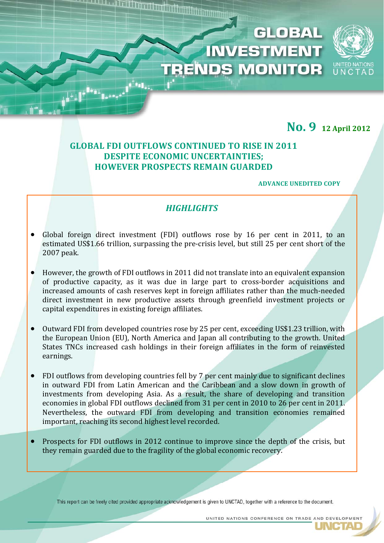# **No. 9 <sup>12</sup> April <sup>2012</sup>**

UNCTAD

## **GLOBAL FDI OUTFLOWS CONTINUED TO RISE IN 2011 DESPITE ECONOMIC UNCERTAINTIES; HOWEVER PROSPECTS REMAIN GUARDED**

#### **ADVANCE UNEDITED COPY**

**GLOBAL** 

**INVESTMENT** 

**TRENDS MONITOR** 

## *HIGHLIGHTS*

- Global foreign direct investment (FDI) outflows rose by 16 per cent in 2011, to an estimated US\$1.66 trillion, surpassing the pre‐crisis level, but still 25 per cent short of the 2007 peak.
- However, the growth of FDI outflows in 2011 did not translate into an equivalent expansion of productive capacity, as it was due in large part to cross‐border acquisitions and increased amounts of cash reserves kept in foreign affiliates rather than the much‐needed direct investment in new productive assets through greenfield investment projects or capital expenditures in existing foreign affiliates.
- Outward FDI from developed countries rose by 25 per cent, exceeding US\$1.23 trillion, with the European Union (EU), North America and Japan all contributing to the growth. United States TNCs increased cash holdings in their foreign affiliates in the form of reinvested earnings.
- FDI outflows from developing countries fell by 7 per cent mainly due to significant declines in outward FDI from Latin American and the Caribbean and a slow down in growth of investments from developing Asia. As a result, the share of developing and transition economies in global FDI outflows declined from 31 per cent in 2010 to 26 per cent in 2011. Nevertheless, the outward FDI from developing and transition economies remained important, reaching its second highest level recorded.
- Prospects for FDI outflows in 2012 continue to improve since the depth of the crisis, but they remain guarded due to the fragility of the global economic recovery.

í

This report can be freely cited provided appropriate acknowledgement is given to UNCTAD, together with a reference to the document.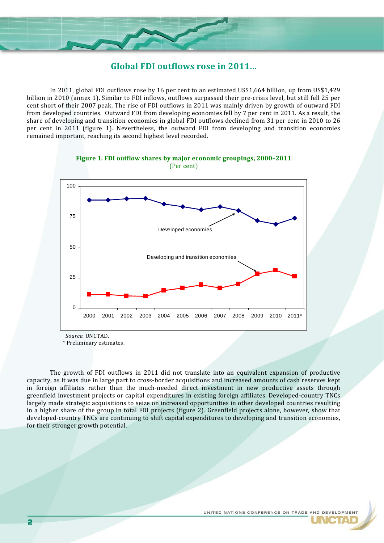

#### **Global FDI outflows rose in 2011...**

In 2011, global FDI outflows rose by 16 per cent to an estimated US\$1,664 billion, up from US\$1,429 billion in 2010 (annex 1). Similar to FDI inflows, outflows surpassed their pre‐crisis level, but still fell 25 per cent short of their 2007 peak. The rise of FDI outflows in 2011 was mainly driven by growth of outward FDI from developed countries. Outward FDI from developing economies fell by 7 per cent in 2011. As a result, the share of developing and transition economies in global FDI outflows declined from 31 per cent in 2010 to 26 per cent in 2011 (figure 1). Nevertheless, the outward FDI from developing and transition economies remained important, reaching its second highest level recorded.



\* Preliminary estimates.

The growth of FDI outflows in 2011 did not translate into an equivalent expansion of productive capacity, as it was due in large part to cross‐border acquisitions and increased amounts of cash reserves kept in foreign affiliates rather than the much-needed direct investment in new productive assets through greenfield investment projects or capital expenditures in existing foreign affiliates. Developed‐country TNCs largely made strategic acquisitions to seize on increased opportunities in other developed countries resulting in a higher share of the group in total FDI projects (figure 2). Greenfield projects alone, however, show that developed‐country TNCs are continuing to shift capital expenditures to developing and transition economies, for their stronger growth potential.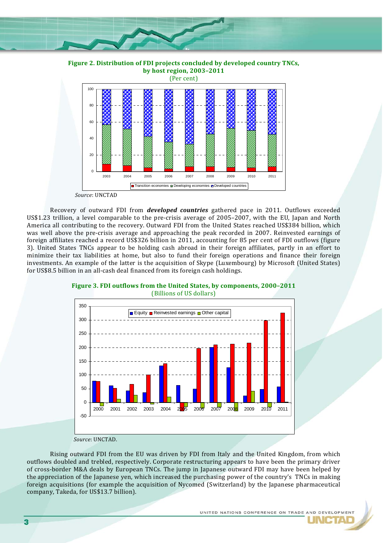

**Figure 2. Distribution of FDI projects concluded by developed country TNCs, by host region, 2003–2011**



*Source*: UNCTAD

Recovery of outward FDI from *developed countries* gathered pace in 2011. Outflows exceeded US\$1.23 trillion, a level comparable to the pre‐crisis average of 2005–2007, with the EU, Japan and North America all contributing to the recovery. Outward FDI from the United States reached US\$384 billion, which was well above the pre-crisis average and approaching the peak recorded in 2007. Reinvested earnings of foreign affiliates reached a record US\$326 billion in 2011, accounting for 85 per cent of FDI outflows (figure 3). United States TNCs appear to be holding cash abroad in their foreign affiliates, partly in an effort to minimize their tax liabilities at home, but also to fund their foreign operations and finance their foreign investments. An example of the latter is the acquisition of Skype (Luxembourg) by Microsoft (United States) for US\$8.5 billion in an all-cash deal financed from its foreign cash holdings.



**Figure 3. FDI outflows from the United States, by components, 2000–2011** (Billions of US dollars)

*Source*: UNCTAD.

Rising outward FDI from the EU was driven by FDI from Italy and the United Kingdom, from which outflows doubled and trebled, respectively. Corporate restructuring appears to have been the primary driver of cross‐border M&A deals by European TNCs. The jump in Japanese outward FDI may have been helped by the appreciation of the Japanese yen, which increased the purchasing power of the country's TNCs in making foreign acquisitions (for example the acquisition of Nycomed (Switzerland) by the Japanese pharmaceutical company, Takeda, for US\$13.7 billion).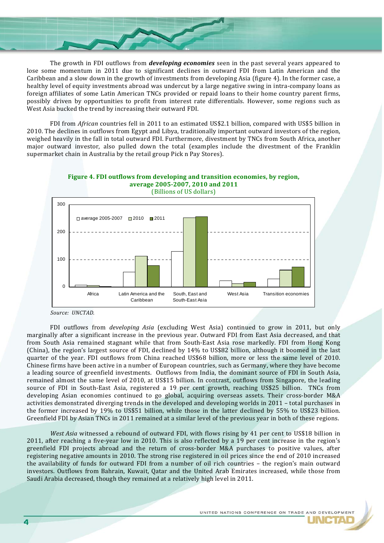The growth in FDI outflows from *developing economies* seen in the past several years appeared to lose some momentum in 2011 due to significant declines in outward FDI from Latin American and the Caribbean and a slow down in the growth of investments from developing Asia (figure 4). In the former case, a healthy level of equity investments abroad was undercut by a large negative swing in intra-company loans as foreign affiliates of some Latin American TNCs provided or repaid loans to their home country parent firms, possibly driven by opportunities to profit from interest rate differentials. However, some regions such as West Asia bucked the trend by increasing their outward FDI.

FDI from *African* countries fell in 2011 to an estimated US\$2.1 billion, compared with US\$5 billion in 2010. The declines in outflows from Egypt and Libya, traditionally important outward investors of the region, weighed heavily in the fall in total outward FDI. Furthermore, divestment by TNCs from South Africa, another major outward investor, also pulled down the total (examples include the divestment of the Franklin supermarket chain in Australia by the retail group Pick n Pay Stores).



**Figure 4. FDI outflows from developing and transition economies, by region,** 

FDI outflows from *developing Asia* (excluding West Asia) continued to grow in 2011, but only marginally after a significant increase in the previous year. Outward FDI from East Asia decreased, and that from South Asia remained stagnant while that from South-East Asia rose markedly. FDI from Hong Kong (China), the region's largest source of FDI, declined by 14% to US\$82 billion, although it boomed in the last quarter of the vear. FDI outflows from China reached US\$68 billion, more or less the same level of 2010. Chinese firms have been active in a number of European countries, such as Germany, where they have become a leading source of greenfield investments. Outflows from India, the dominant source of FDI in South Asia, remained almost the same level of 2010, at US\$15 billion. In contrast, outflows from Singapore, the leading source of FDI in South-East Asia, registered a 19 per cent growth, reaching US\$25 billion. TNCs from developing Asian economies continued to go global, acquiring overseas assets. Their cross-border M&A activities demonstrated diverging trends in the developed and developing worlds in 2011 – total purchases in the former increased by 19% to US\$51 billion, while those in the latter declined by 55% to US\$23 billion. Greenfield FDI by Asian TNCs in 2011 remained at a similar level of the previous year in both of these regions.

*West Asia* witnessed a rebound of outward FDI, with flows rising by 41 per cent to US\$18 billion in 2011, after reaching a five-year low in 2010. This is also reflected by a 19 per cent increase in the region's greenfield FDI projects abroad and the return of cross-border M&A purchases to positive values, after registering negative amounts in 2010. The strong rise registered in oil prices since the end of 2010 increased the availability of funds for outward FDI from a number of oil rich countries - the region's main outward investors. Outflows from Bahrain, Kuwait, Qatar and the United Arab Emirates increased, while those from Saudi Arabia decreased, though they remained at a relatively high level in 2011.

*Source: UNCTAD.*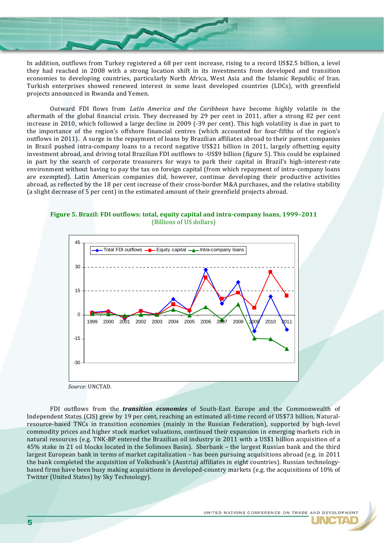In addition, outflows from Turkey registered a 68 per cent increase, rising to a record US\$2.5 billion, a level they had reached in 2008 with a strong location shift in its investments from developed and transition economies to developing countries, particularly North Africa, West Asia and the Islamic Republic of Iran. Turkish enterprises showed renewed interest in some least developed countries (LDCs), with greenfield projects announced in Rwanda and Yemen.

Outward FDI flows from *Latin America and the Caribbean* have become highly volatile in the aftermath of the global financial crisis. They decreased by 29 per cent in 2011, after a strong 82 per cent increase in 2010, which followed a large decline in 2009 (‐39 per cent). This high volatility is due in part to the importance of the region's offshore financial centres (which accounted for four-fifths of the region's outflows in 2011). A surge in the repayment of loans by Brazilian affiliates abroad to their parent companies in Brazil pushed intra-company loans to a record negative US\$21 billion in 2011, largely offsetting equity investment abroad, and driving total Brazilian FDI outflows to ‐US\$9 billion (figure 5). This could be explained in part by the search of corporate treasurers for ways to park their capital in Brazil's high-interest-rate environment without having to pay the tax on foreign capital (from which repayment of intra-company loans are exempted). Latin American companies did, however, continue developing their productive activities abroad, as reflected by the 18 per cent increase of their cross-border M&A purchases, and the relative stability (a slight decrease of 5 per cent) in the estimated amount of their greenfield projects abroad.

**Figure 5. Brazil: FDI outflows: total, equity capital and intracompany loans, 1999–2011** (Billions of US dollars)



FDI outflows from the *transition economies* of South-East Europe and the Commonwealth of Independent States (CIS) grew by 19 per cent, reaching an estimated all‐time record of US\$73 billion. Natural‐ resource‐based TNCs in transition economies (mainly in the Russian Federation), supported by high‐level commodity prices and higher stock market valuations, continued their expansion in emerging markets rich in natural resources (e.g. TNK‐BP entered the Brazilian oil industry in 2011 with a US\$1 billion acquisition of a 45% stake in 21 oil blocks located in the Solimoes Basin). Sberbank – the largest Russian bank and the third largest European bank in terms of market capitalization – has been pursuing acquisitions abroad (e.g. in 2011 the bank completed the acquisition of Volksbank's (Austria) affiliates in eight countries). Russian technologybased firms have been busy making acquisitions in developed‐country markets (e.g. the acquisitions of 10% of Twitter (United States) by Sky Technology).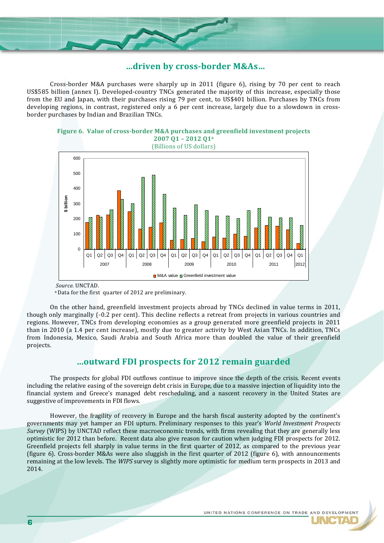

#### **…driven by crossborder M&As…**

Cross-border M&A purchases were sharply up in 2011 (figure 6), rising by 70 per cent to reach US\$585 billion (annex I). Developed‐country TNCs generated the majority of this increase, especially those from the EU and Japan, with their purchases rising 79 per cent, to US\$401 billion. Purchases by TNCs from developing regions, in contrast, registered only a 6 per cent increase, largely due to a slowdown in crossborder purchases by Indian and Brazilian TNCs.



(Billions of US dollars)



 *Source.* UNCTAD.

a Data for the first quarter of 2012 are preliminary.

 On the other hand, greenfield investment projects abroad by TNCs declined in value terms in 2011, though only marginally (‐0.2 per cent). This decline reflects a retreat from projects in various countries and regions. However, TNCs from developing economies as a group generated more greenfield projects in 2011 than in 2010 (a 1.4 per cent increase), mostly due to greater activity by West Asian TNCs. In addition, TNCs from Indonesia, Mexico, Saudi Arabia and South Africa more than doubled the value of their greenfield projects.

### **...outward FDI prospects for 2012 remain guarded**

The prospects for global FDI outflows continue to improve since the depth of the crisis. Recent events including the relative easing of the sovereign debt crisis in Europe, due to a massive injection of liquidity into the financial system and Greece's managed debt rescheduling, and a nascent recovery in the United States are suggestive of improvements in FDI flows.

However, the fragility of recovery in Europe and the harsh fiscal austerity adopted by the continent's governments may yet hamper an FDI upturn. Preliminary responses to this year's *World Investment Prospects Survey* (WIPS) by UNCTAD reflect these macroeconomic trends, with firms revealing that they are generally less optimistic for 2012 than before. Recent data also give reason for caution when judging FDI prospects for 2012. Greenfield projects fell sharply in value terms in the first quarter of 2012, as compared to the previous year (figure  $6$ ). Cross-border M&As were also sluggish in the first quarter of 2012 (figure  $6$ ), with announcements remaining at the low levels. The *WIPS* survey is slightly more optimistic for medium term prospects in 2013 and 2014.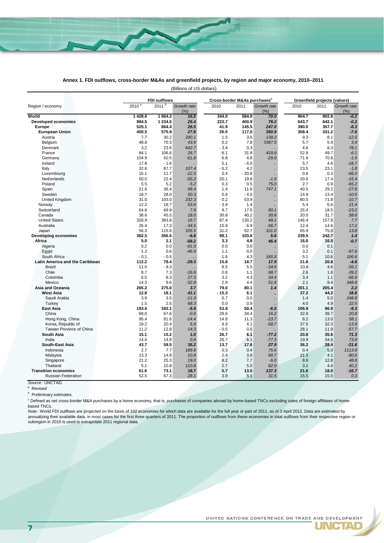

#### (Billions of US dollars) **Annex 1. FDI outflows, cross-border M&As and greenfield projects, by region and major economy, 2010–2011**

| Region / economy                | <b>FDI outflows</b> |            |                    |         | Cross-border M&As purchases <sup>c</sup> |                      |       | Greenfield projects (values) |                    |  |
|---------------------------------|---------------------|------------|--------------------|---------|------------------------------------------|----------------------|-------|------------------------------|--------------------|--|
|                                 | 2010 <sup>a</sup>   | $2011^{b}$ | Growth rate<br>(%) | 2010    | 2011                                     | Growth rate<br>(% )  | 2010  | 2011                         | Growth rate<br>(%) |  |
| World                           | 1 4 28.6            | 1664.2     | 16.5               | 344.0   | 584.9                                    | 70.0                 | 904.7 | 902.8                        | $-0.2$             |  |
| <b>Developed economies</b>      | 984.5               | 1 2 3 4 .5 | 25.4               | 223.7   | 400.9                                    | 79.2                 | 643.7 | 642.1                        | $-0.2$             |  |
| <b>Europe</b>                   | 525.1               | 664.4      | 26.5               | 41.9    | 145.5                                    | 247.0                | 390.0 | 357.7                        | $-8.3$             |  |
| <b>European Union</b>           | 450.5               | 575.9      | 27.8               | 26.0    | 117.0                                    | 350.9                | 358.4 | 331.2                        | $-7.6$             |  |
| Austria                         | 7.7                 | 30.2       | 290.1              | 1.5     | 3.6                                      | 138.2                | 9.3   | 8.1                          | $-12.5$            |  |
| Belgium                         | 48.8                | 70.3       | 43.9               | 0.2     | 7.8                                      | 3387.5               | 5.7   | 5.9                          | 3.4                |  |
| Denmark                         | 3.2                 | 23.6       | 642.7              | $-3.4$  | 0.3                                      |                      | 4.6   | 8.3                          | 78.1               |  |
| France                          | 84.1                | 106.6      | 26.7               | 6.1     | 31.8                                     | 419.9                | 52.9  | 49.7                         | $-6.1$             |  |
| Germany                         | 104.9               | 50.5       | $-51.8$            | 6.8     | 4.8                                      | $-29.9$              | 71.9  | 70.8                         | $-1.5$             |  |
| Ireland                         | 17.8                | $-1.6$     |                    | 5.1     | $-6.0$                                   |                      | 5.7   | 4.6                          | $-18.7$            |  |
| Italy                           | 32.6                | 67.7       | 107.4              | $-6.2$  | 4.2                                      | $\ldots$             | 23.5  | 23.1                         | $-1.8$             |  |
| Luxembourg                      | 15.1                | 11.7       | $-22.5$            | 0.4     | $-20.8$                                  | $\ddot{\phantom{a}}$ | 0.8   | 0.3                          | $-66.0$            |  |
| Netherlands                     | 50.0                | 22.4       | $-55.2$            | 20.1    | 19.8                                     | $-1.8$               | 20.6  | 17.4                         | $-15.4$            |  |
| Poland                          | 5.5                 | 5.2        | $-5.2$             | 0.3     | 0.5                                      | 75.0                 | 2.7   | 0.9                          | $-65.2$            |  |
| Spain                           | 21.6                | 36.4       | 68.4               | 1.4     | 11.6                                     | 747.1                | 40.5  | 29.2                         | $-27.8$            |  |
| Sweden                          | 18.7                | 28.0       | 50.3               | 0.8     | $-4.0$                                   |                      | 14.9  | 13.4                         | $-10.5$            |  |
| <b>United Kingdom</b>           | 31.0                | 103.0      | 232.3              | $-0.2$  | 53.9                                     |                      | 80.5  | 71.8                         | $-10.7$            |  |
| Norway                          | 12.2                | 18.7       | 53.6               | $-3.9$  | 1.4                                      |                      | 5.4   | 6.6                          | 21.4               |  |
| Switzerland                     | 64.8                | 69.9       | 7.9                | 9.7     | 17.5                                     | 80.1                 | 25.4  | 19.5                         | $-23.2$            |  |
| Canada                          | 38.6                | 45.5       | 18.0               | 30.8    | 40.2                                     | 30.6                 | 20.0  | 31.7                         | 58.6               |  |
| <b>United States</b>            | 328.9               | 383.8      | 16.7               | 87.4    | 130.2                                    | 49.1                 | 146.4 | 157.8                        | 7.7                |  |
| Australia                       | 26.4                | 17.3       | $-34.5$            | 15.9    | 6.9                                      | $-56.7$              | 12.4  | 14.6                         | 17.2               |  |
| Japan                           | 56.3                | 115.6      | 105.5              | 31.2    | 62.7                                     | 101.0                | 65.9  | 75.0                         | 13.8               |  |
| <b>Developing economies</b>     | 382.5               | 356.5      | $-6.8$             | 98.1    | 103.6                                    | 5.6                  | 239.5 | 242.7                        | 1.4                |  |
| Africa                          | 5.0                 | 2.1        | $-58.2$            | 3.3     | 4.8                                      | 45.4                 | 16.6  | 16.5                         | $-0.7$             |  |
| Algeria                         | 0.2                 | 0.0        | $-91.0$            | 0.0     | 0.0                                      |                      | 0.0   | 0.1                          |                    |  |
| Egypt                           | 1.2                 | 0.6        | $-46.8$            | 1.1     | 0.0                                      |                      | 3.2   | 0.1                          | $-97.6$            |  |
| South Africa                    | $-0.1$              | $-0.5$     |                    | 1.6     | 4.3                                      | 165.8                | 5.1   | 10.6                         | 106.6              |  |
| Latin America and the Caribbean | 112.2               | 79.4       | $-29.3$            | 15.8    | 18.7                                     | 17.9                 | 21.8  | 20.8                         | $-4.6$             |  |
| <b>Brazil</b>                   | 11.5                | $-9.3$     |                    | 8.5     | 5.5                                      | $-34.6$              | 10.4  | 4.6                          | $-56.1$            |  |
| Chile                           | 8.7                 | 7.3        | $-16.6$            | 0.6     | 1.1                                      | 68.7                 | 2.6   | 1.6                          | $-39.2$            |  |
| Colombia                        | 6.5                 | 8.3        | 27.5               | 3.2     | 4.3                                      | 34.4                 | 3.4   | 1.1                          | $-66.9$            |  |
| Mexico                          | 14.3                | 9.6        | $-32.8$            | 2.9     | 4.4                                      | 51.8                 | 2.1   | 9.4                          | 348.8              |  |
| Asia and Oceania                | 265.2               | 275.0      | 3.7                | 79.0    | 80.1                                     | 1.4                  | 201.1 | 205.4                        | 2.2                |  |
| <b>West Asia</b>                | 12.8                | 18.1       | 41.1               | $-15.3$ | 6.1                                      |                      | 37.2  | 44.2                         | 18.8               |  |
| Saudi Arabia                    | 3.9                 | 3.5        | $-11.0$            | 0.7     | 0.0                                      |                      | 1.4   | 5.0                          | 248.8              |  |
| Turkey                          | 1.5                 | 2.5        | 68.3               | 0.0     | 0.9                                      |                      | 4.0   | 4.9                          | 22.5               |  |
| <b>East Asia</b>                | 193.6               | 182.1      | $-5.9$             | 53.9    | 50.4                                     | $-6.5$               | 106.9 | 96.9                         | $-9.3$             |  |
| China                           | 68.0                | 67.6       | $-0.6$             | 29.6    | 34.4                                     | 16.2                 | 32.9  | 39.7                         | 20.8               |  |
| Hong Kong, China                | 95.4                | 81.6       | $-14.4$            | 14.8    | 11.3                                     | $-23.7$              | 8.2   | 13.0                         | 58.1               |  |
| Korea, Republic of              | 19.2                | 20.4       | 5.9                | 9.9     | 4.1                                      | $-58.7$              | 37.5  | 32.3                         | $-13.9$            |  |
| Taiwan Province of China        | 11.2                | 12.8       | 14.3               | $-0.5$  | 0.6                                      |                      | 28.1  | 11.9                         | $-57.7$            |  |
|                                 |                     |            |                    |         |                                          |                      | 20.8  |                              |                    |  |
| <b>South Asia</b><br>India      | 15.1                | 15.2       | 1.0                | 26.7    | 6.1                                      | $-77.2$              |       | 35.6                         | 71.3               |  |
|                                 | 14.6                | 14.8       | 0.9                | 26.7    | 6.1                                      | $-77.3$              | 19.9  | 34.6                         | 73.9               |  |
| <b>South-East Asia</b>          | 43.7                | 59.5       | 36.2<br>189.8      | 13.7    | 17.6<br>0.4                              | 27.9                 | 36.2  | 28.4                         | $-21.6$            |  |
| Indonesia                       | 2.7                 | 7.7        |                    | 0.3     |                                          | 75.6                 | 0.4   | 5.0                          | 1113.9             |  |
| Malaysia                        | 13.3                | 14.8       | 10.8               | 2.4     | 3.9                                      | 60.7                 | 21.3  | 4.1                          | $-80.6$            |  |
| Singapore                       | 21.2                | 25.3       | 19.0               | 8.2     | 7.7                                      | $-6.0$               | 8.6   | 12.8                         | 48.8               |  |
| Thailand                        | 5.1                 | 10.8       | 110.8              | 2.7     | 5.0                                      | 82.9                 | 3.1   | 4.4                          | 40.2               |  |
| <b>Transition economies</b>     | 61.6                | 73.1       | 18.7               | 5.7     | 13.5                                     | 137.3                | 21.6  | 18.0                         | $-16.7$            |  |
| <b>Russian Federation</b>       | 52.5                | 67.3       | 28.1               | 3.9     | 5.1                                      | 31.5                 | 15.5  | 15.5                         | 0.3                |  |
| Source: UNCTAD.                 |                     |            |                    |         |                                          |                      |       |                              |                    |  |

<sup>a</sup> Revised

**b** Preliminary estimates.

C Defined as net cross-border M&A purchases by a home economy, that is, purchases of companies abroad by home-based TNCs excluding sales of foreign affiliates of homebased TNCs.

*Note* : World FDI outflows are projected on the basis of 102 economies for which data are available for the full year or part of 2011, as of 3 April 2012. Data are estimated by annualizing their available data, in most cases for the first three quarters of 2011. The proportion of outflows from these economies in total outflows from their respective region or subregion in 2010 is used to extrapolate 2011 regional data.

**JNCTAL**